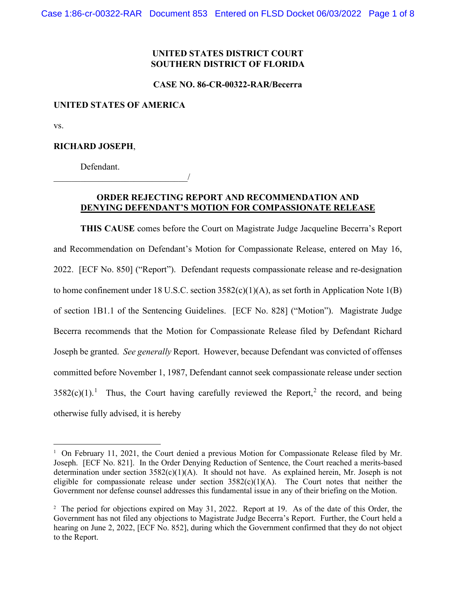# **UNITED STATES DISTRICT COURT SOUTHERN DISTRICT OF FLORIDA**

#### **CASE NO. 86-CR-00322-RAR/Becerra**

### **UNITED STATES OF AMERICA**

\_\_\_\_\_\_\_\_\_\_\_\_\_\_\_\_\_\_\_\_\_\_\_\_\_\_\_\_\_\_/

vs.

### **RICHARD JOSEPH**,

Defendant.

## **ORDER REJECTING REPORT AND RECOMMENDATION AND DENYING DEFENDANT'S MOTION FOR COMPASSIONATE RELEASE**

**THIS CAUSE** comes before the Court on Magistrate Judge Jacqueline Becerra's Report and Recommendation on Defendant's Motion for Compassionate Release, entered on May 16, 2022. [ECF No. 850] ("Report"). Defendant requests compassionate release and re-designation to home confinement under 18 U.S.C. section 3582(c)(1)(A), as set forth in Application Note 1(B) of section 1B1.1 of the Sentencing Guidelines. [ECF No. 828] ("Motion"). Magistrate Judge Becerra recommends that the Motion for Compassionate Release filed by Defendant Richard Joseph be granted. *See generally* Report. However, because Defendant was convicted of offenses committed before November 1, 1987, Defendant cannot seek compassionate release under section  $3582(c)(1).$  $3582(c)(1).$  $3582(c)(1).$ <sup>1</sup> Thus, the Court having carefully reviewed the Report,<sup>[2](#page-0-1)</sup> the record, and being otherwise fully advised, it is hereby

<span id="page-0-0"></span><sup>&</sup>lt;sup>1</sup> On February 11, 2021, the Court denied a previous Motion for Compassionate Release filed by Mr. Joseph. [ECF No. 821]. In the Order Denying Reduction of Sentence, the Court reached a merits-based determination under section 3582(c)(1)(A). It should not have. As explained herein, Mr. Joseph is not eligible for compassionate release under section  $3582(c)(1)(A)$ . The Court notes that neither the Government nor defense counsel addresses this fundamental issue in any of their briefing on the Motion.

<span id="page-0-1"></span><sup>&</sup>lt;sup>2</sup> The period for objections expired on May 31, 2022. Report at 19. As of the date of this Order, the Government has not filed any objections to Magistrate Judge Becerra's Report. Further, the Court held a hearing on June 2, 2022, [ECF No. 852], during which the Government confirmed that they do not object to the Report.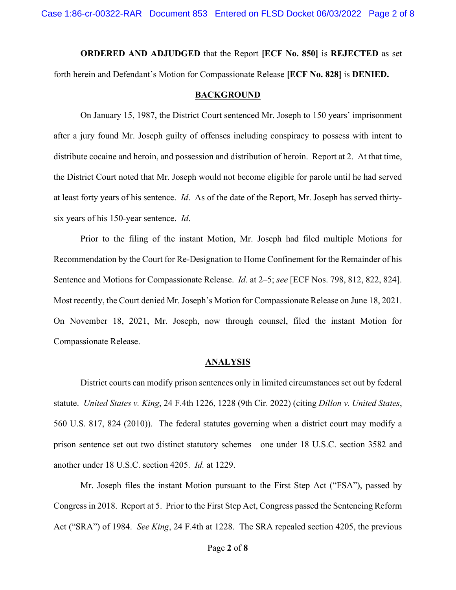**ORDERED AND ADJUDGED** that the Report **[ECF No. 850]** is **REJECTED** as set forth herein and Defendant's Motion for Compassionate Release **[ECF No. 828]** is **DENIED.**

#### **BACKGROUND**

On January 15, 1987, the District Court sentenced Mr. Joseph to 150 years' imprisonment after a jury found Mr. Joseph guilty of offenses including conspiracy to possess with intent to distribute cocaine and heroin, and possession and distribution of heroin. Report at 2. At that time, the District Court noted that Mr. Joseph would not become eligible for parole until he had served at least forty years of his sentence. *Id*. As of the date of the Report, Mr. Joseph has served thirtysix years of his 150-year sentence. *Id*.

Prior to the filing of the instant Motion, Mr. Joseph had filed multiple Motions for Recommendation by the Court for Re-Designation to Home Confinement for the Remainder of his Sentence and Motions for Compassionate Release. *Id*. at 2–5; *see* [ECF Nos. 798, 812, 822, 824]. Most recently, the Court denied Mr. Joseph's Motion for Compassionate Release on June 18, 2021. On November 18, 2021, Mr. Joseph, now through counsel, filed the instant Motion for Compassionate Release.

#### **ANALYSIS**

District courts can modify prison sentences only in limited circumstances set out by federal statute. *United States v. King*, 24 F.4th 1226, 1228 (9th Cir. 2022) (citing *Dillon v. United States*, 560 U.S. 817, 824 (2010)). The federal statutes governing when a district court may modify a prison sentence set out two distinct statutory schemes—one under 18 U.S.C. section 3582 and another under 18 U.S.C. section 4205. *Id.* at 1229.

Mr. Joseph files the instant Motion pursuant to the First Step Act ("FSA"), passed by Congress in 2018. Report at 5. Prior to the First Step Act, Congress passed the Sentencing Reform Act ("SRA") of 1984. *See King*, 24 F.4th at 1228. The SRA repealed section 4205, the previous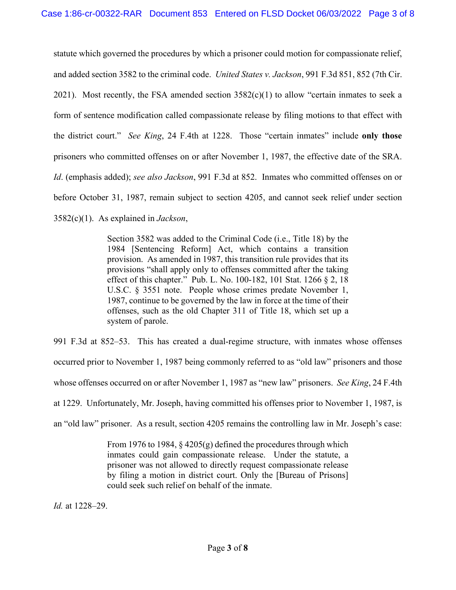statute which governed the procedures by which a prisoner could motion for compassionate relief, and added section 3582 to the criminal code. *United States v. Jackson*, 991 F.3d 851, 852 (7th Cir. 2021). Most recently, the FSA amended section  $3582(c)(1)$  to allow "certain inmates to seek a form of sentence modification called compassionate release by filing motions to that effect with the district court." *See King*, 24 F.4th at 1228. Those "certain inmates" include **only those** prisoners who committed offenses on or after November 1, 1987, the effective date of the SRA. *Id*. (emphasis added); *see also Jackson*, 991 F.3d at 852. Inmates who committed offenses on or before October 31, 1987, remain subject to section 4205, and cannot seek relief under section 3582(c)(1). As explained in *Jackson*,

> Section 3582 was added to the Criminal Code (i.e., Title 18) by the 1984 [Sentencing Reform] Act, which contains a transition provision. As amended in 1987, this transition rule provides that its provisions "shall apply only to offenses committed after the taking effect of this chapter." Pub. L. No. 100-182, 101 Stat. 1266 § 2, 18 U.S.C. § 3551 note. People whose crimes predate November 1, 1987, continue to be governed by the law in force at the time of their offenses, such as the old Chapter 311 of Title 18, which set up a system of parole.

991 F.3d at 852–53. This has created a dual-regime structure, with inmates whose offenses occurred prior to November 1, 1987 being commonly referred to as "old law" prisoners and those whose offenses occurred on or after November 1, 1987 as "new law" prisoners. *See King*, 24 F.4th at 1229. Unfortunately, Mr. Joseph, having committed his offenses prior to November 1, 1987, is an "old law" prisoner. As a result, section 4205 remains the controlling law in Mr. Joseph's case:

> From 1976 to 1984, § 4205(g) defined the procedures through which inmates could gain compassionate release. Under the statute, a prisoner was not allowed to directly request compassionate release by filing a motion in district court. Only the [Bureau of Prisons] could seek such relief on behalf of the inmate.

*Id.* at 1228–29.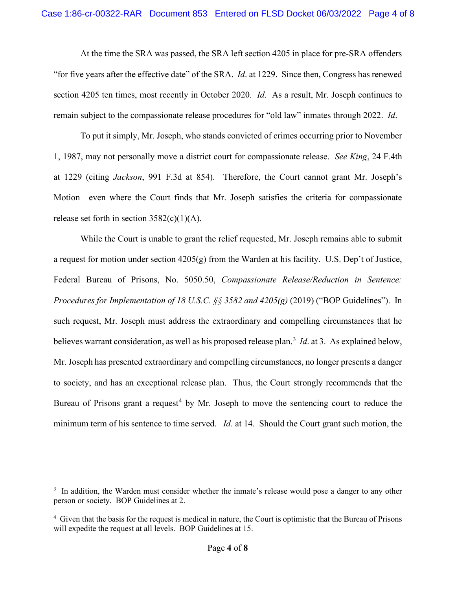At the time the SRA was passed, the SRA left section 4205 in place for pre-SRA offenders "for five years after the effective date" of the SRA. *Id*. at 1229. Since then, Congress has renewed section 4205 ten times, most recently in October 2020. *Id*. As a result, Mr. Joseph continues to remain subject to the compassionate release procedures for "old law" inmates through 2022. *Id*.

To put it simply, Mr. Joseph, who stands convicted of crimes occurring prior to November 1, 1987, may not personally move a district court for compassionate release. *See King*, 24 F.4th at 1229 (citing *Jackson*, 991 F.3d at 854). Therefore, the Court cannot grant Mr. Joseph's Motion—even where the Court finds that Mr. Joseph satisfies the criteria for compassionate release set forth in section  $3582(c)(1)(A)$ .

While the Court is unable to grant the relief requested, Mr. Joseph remains able to submit a request for motion under section 4205(g) from the Warden at his facility. U.S. Dep't of Justice, Federal Bureau of Prisons, No. 5050.50, *Compassionate Release/Reduction in Sentence: Procedures for Implementation of 18 U.S.C. §§ 3582 and 4205(g)* (2019) ("BOP Guidelines"). In such request, Mr. Joseph must address the extraordinary and compelling circumstances that he believes warrant consideration, as well as his proposed release plan. [3](#page-3-0) *Id*. at 3. As explained below, Mr. Joseph has presented extraordinary and compelling circumstances, no longer presents a danger to society, and has an exceptional release plan. Thus, the Court strongly recommends that the Bureau of Prisons grant a request<sup>[4](#page-3-1)</sup> by Mr. Joseph to move the sentencing court to reduce the minimum term of his sentence to time served. *Id*. at 14. Should the Court grant such motion, the

<span id="page-3-0"></span><sup>&</sup>lt;sup>3</sup> In addition, the Warden must consider whether the inmate's release would pose a danger to any other person or society. BOP Guidelines at 2.

<span id="page-3-1"></span><sup>&</sup>lt;sup>4</sup> Given that the basis for the request is medical in nature, the Court is optimistic that the Bureau of Prisons will expedite the request at all levels. BOP Guidelines at 15.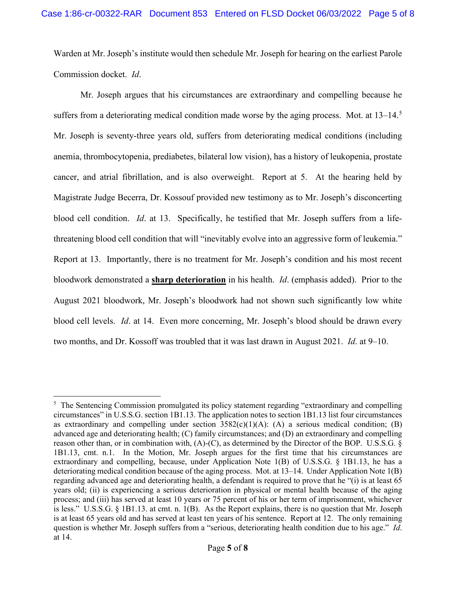Warden at Mr. Joseph's institute would then schedule Mr. Joseph for hearing on the earliest Parole Commission docket. *Id*.

Mr. Joseph argues that his circumstances are extraordinary and compelling because he suffers from a deteriorating medical condition made worse by the aging process. Mot. at  $13-14$ .<sup>[5](#page-4-0)</sup> Mr. Joseph is seventy-three years old, suffers from deteriorating medical conditions (including anemia, thrombocytopenia, prediabetes, bilateral low vision), has a history of leukopenia, prostate cancer, and atrial fibrillation, and is also overweight. Report at 5. At the hearing held by Magistrate Judge Becerra, Dr. Kossouf provided new testimony as to Mr. Joseph's disconcerting blood cell condition. *Id*. at 13. Specifically, he testified that Mr. Joseph suffers from a lifethreatening blood cell condition that will "inevitably evolve into an aggressive form of leukemia." Report at 13. Importantly, there is no treatment for Mr. Joseph's condition and his most recent bloodwork demonstrated a **sharp deterioration** in his health. *Id*. (emphasis added). Prior to the August 2021 bloodwork, Mr. Joseph's bloodwork had not shown such significantly low white blood cell levels. *Id*. at 14. Even more concerning, Mr. Joseph's blood should be drawn every two months, and Dr. Kossoff was troubled that it was last drawn in August 2021. *Id*. at 9–10.

<span id="page-4-0"></span><sup>&</sup>lt;sup>5</sup> The Sentencing Commission promulgated its policy statement regarding "extraordinary and compelling circumstances" in U.S.S.G. section 1B1.13. The application notes to section 1B1.13 list four circumstances as extraordinary and compelling under section  $3582(c)(1)(A)$ : (A) a serious medical condition; (B) advanced age and deteriorating health; (C) family circumstances; and (D) an extraordinary and compelling reason other than, or in combination with, (A)-(C), as determined by the Director of the BOP. U.S.S.G. § 1B1.13, cmt. n.1. In the Motion, Mr. Joseph argues for the first time that his circumstances are extraordinary and compelling, because, under Application Note 1(B) of U.S.S.G. § 1B1.13, he has a deteriorating medical condition because of the aging process. Mot. at 13–14. Under Application Note 1(B) regarding advanced age and deteriorating health, a defendant is required to prove that he "(i) is at least 65 years old; (ii) is experiencing a serious deterioration in physical or mental health because of the aging process; and (iii) has served at least 10 years or 75 percent of his or her term of imprisonment, whichever is less." U.S.S.G. § 1B1.13. at cmt. n. 1(B). As the Report explains, there is no question that Mr. Joseph is at least 65 years old and has served at least ten years of his sentence. Report at 12. The only remaining question is whether Mr. Joseph suffers from a "serious, deteriorating health condition due to his age." *Id*. at 14.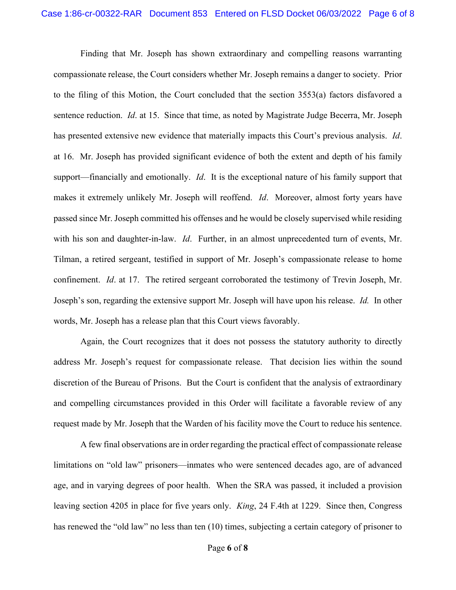Finding that Mr. Joseph has shown extraordinary and compelling reasons warranting compassionate release, the Court considers whether Mr. Joseph remains a danger to society. Prior to the filing of this Motion, the Court concluded that the section 3553(a) factors disfavored a sentence reduction. *Id*. at 15. Since that time, as noted by Magistrate Judge Becerra, Mr. Joseph has presented extensive new evidence that materially impacts this Court's previous analysis. *Id*. at 16. Mr. Joseph has provided significant evidence of both the extent and depth of his family support—financially and emotionally. *Id*. It is the exceptional nature of his family support that makes it extremely unlikely Mr. Joseph will reoffend. *Id*. Moreover, almost forty years have passed since Mr. Joseph committed his offenses and he would be closely supervised while residing with his son and daughter-in-law. *Id*. Further, in an almost unprecedented turn of events, Mr. Tilman, a retired sergeant, testified in support of Mr. Joseph's compassionate release to home confinement. *Id*. at 17. The retired sergeant corroborated the testimony of Trevin Joseph, Mr. Joseph's son, regarding the extensive support Mr. Joseph will have upon his release. *Id.* In other words, Mr. Joseph has a release plan that this Court views favorably.

Again, the Court recognizes that it does not possess the statutory authority to directly address Mr. Joseph's request for compassionate release. That decision lies within the sound discretion of the Bureau of Prisons. But the Court is confident that the analysis of extraordinary and compelling circumstances provided in this Order will facilitate a favorable review of any request made by Mr. Joseph that the Warden of his facility move the Court to reduce his sentence.

A few final observations are in order regarding the practical effect of compassionate release limitations on "old law" prisoners—inmates who were sentenced decades ago, are of advanced age, and in varying degrees of poor health. When the SRA was passed, it included a provision leaving section 4205 in place for five years only. *King*, 24 F.4th at 1229. Since then, Congress has renewed the "old law" no less than ten (10) times, subjecting a certain category of prisoner to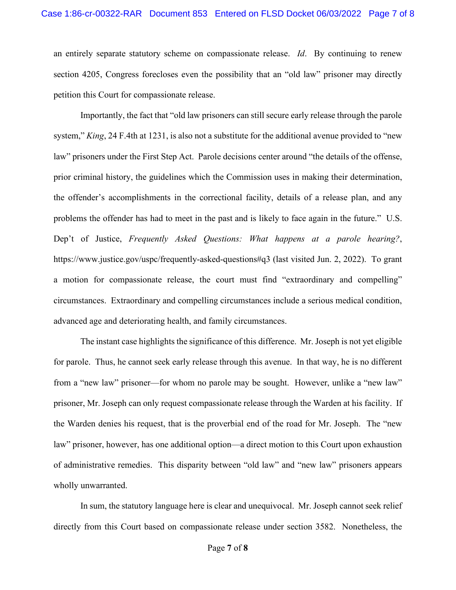an entirely separate statutory scheme on compassionate release. *Id*. By continuing to renew section 4205, Congress forecloses even the possibility that an "old law" prisoner may directly petition this Court for compassionate release.

Importantly, the fact that "old law prisoners can still secure early release through the parole system," *King*, 24 F.4th at 1231, is also not a substitute for the additional avenue provided to "new law" prisoners under the First Step Act. Parole decisions center around "the details of the offense, prior criminal history, the guidelines which the Commission uses in making their determination, the offender's accomplishments in the correctional facility, details of a release plan, and any problems the offender has had to meet in the past and is likely to face again in the future." U.S. Dep't of Justice, *Frequently Asked Questions: What happens at a parole hearing?*, https://www.justice.gov/uspc/frequently-asked-questions#q3 (last visited Jun. 2, 2022). To grant a motion for compassionate release, the court must find "extraordinary and compelling" circumstances. Extraordinary and compelling circumstances include a serious medical condition, advanced age and deteriorating health, and family circumstances.

The instant case highlights the significance of this difference. Mr. Joseph is not yet eligible for parole. Thus, he cannot seek early release through this avenue. In that way, he is no different from a "new law" prisoner—for whom no parole may be sought. However, unlike a "new law" prisoner, Mr. Joseph can only request compassionate release through the Warden at his facility. If the Warden denies his request, that is the proverbial end of the road for Mr. Joseph. The "new law" prisoner, however, has one additional option—a direct motion to this Court upon exhaustion of administrative remedies. This disparity between "old law" and "new law" prisoners appears wholly unwarranted.

In sum, the statutory language here is clear and unequivocal. Mr. Joseph cannot seek relief directly from this Court based on compassionate release under section 3582. Nonetheless, the